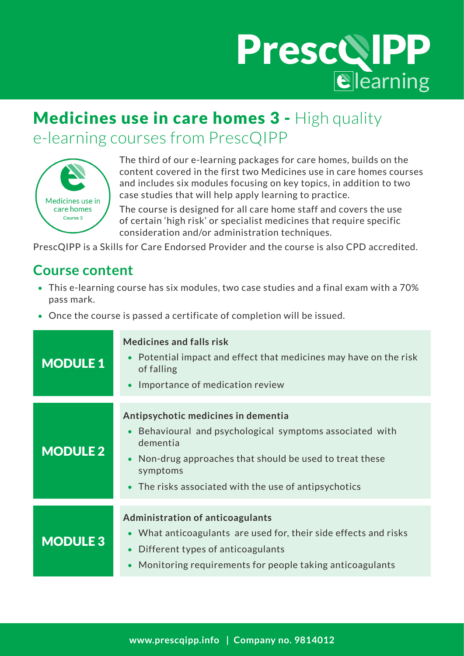# PrescQIPP

## Medicines use in care homes 3 - High quality e-learning courses from PrescQIPP



The third of our e-learning packages for care homes, builds on the content covered in the first two Medicines use in care homes courses and includes six modules focusing on key topics, in addition to two case studies that will help apply learning to practice.

The course is designed for all care home staff and covers the use of certain 'high risk' or specialist medicines that require specific consideration and/or administration techniques.

PrescQIPP is a Skills for Care Endorsed Provider and the course is also CPD accredited.

### **Course content**

- This e-learning course has six modules, two case studies and a final exam with a 70% pass mark.
- Once the course is passed a certificate of completion will be issued.

| <b>MODULE 1</b> | <b>Medicines and falls risk</b><br>Potential impact and effect that medicines may have on the risk<br>of falling<br>Importance of medication review                                                                                      |
|-----------------|------------------------------------------------------------------------------------------------------------------------------------------------------------------------------------------------------------------------------------------|
| <b>MODULE 2</b> | Antipsychotic medicines in dementia<br>Behavioural and psychological symptoms associated with<br>dementia<br>Non-drug approaches that should be used to treat these<br>symptoms<br>• The risks associated with the use of antipsychotics |
| <b>MODULE 3</b> | <b>Administration of anticoagulants</b><br>• What anticoagulants are used for, their side effects and risks<br>Different types of anticoagulants<br>Monitoring requirements for people taking anticoagulants                             |